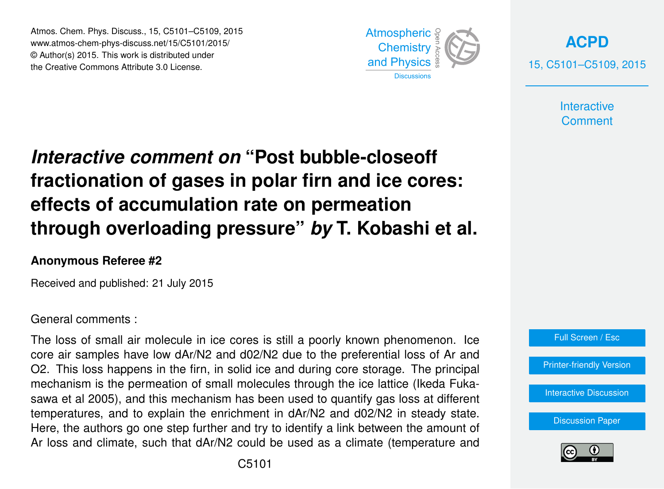Atmos. Chem. Phys. Discuss., 15, C5101–C5109, 2015 www.atmos-chem-phys-discuss.net/15/C5101/2015/ © Author(s) 2015. This work is distributed under the Creative Commons Attribute 3.0 License.



**[ACPD](http://www.atmos-chem-phys-discuss.net)** 15, C5101–C5109, 2015

> **Interactive Comment**

# *Interactive comment on* **"Post bubble-closeoff fractionation of gases in polar firn and ice cores: effects of accumulation rate on permeation through overloading pressure"** *by* **T. Kobashi et al.**

## **Anonymous Referee #2**

Received and published: 21 July 2015

### General comments :

The loss of small air molecule in ice cores is still a poorly known phenomenon. Ice core air samples have low dAr/N2 and d02/N2 due to the preferential loss of Ar and O2. This loss happens in the firn, in solid ice and during core storage. The principal mechanism is the permeation of small molecules through the ice lattice (Ikeda Fukasawa et al 2005), and this mechanism has been used to quantify gas loss at different temperatures, and to explain the enrichment in dAr/N2 and d02/N2 in steady state. Here, the authors go one step further and try to identify a link between the amount of Ar loss and climate, such that dAr/N2 could be used as a climate (temperature and



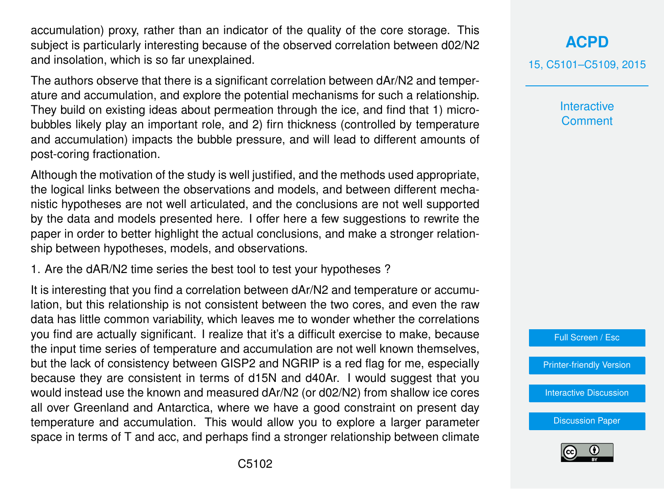accumulation) proxy, rather than an indicator of the quality of the core storage. This subject is particularly interesting because of the observed correlation between d02/N2 and insolation, which is so far unexplained.

The authors observe that there is a significant correlation between dAr/N2 and temperature and accumulation, and explore the potential mechanisms for such a relationship. They build on existing ideas about permeation through the ice, and find that 1) microbubbles likely play an important role, and 2) firn thickness (controlled by temperature and accumulation) impacts the bubble pressure, and will lead to different amounts of post-coring fractionation.

Although the motivation of the study is well justified, and the methods used appropriate, the logical links between the observations and models, and between different mechanistic hypotheses are not well articulated, and the conclusions are not well supported by the data and models presented here. I offer here a few suggestions to rewrite the paper in order to better highlight the actual conclusions, and make a stronger relationship between hypotheses, models, and observations.

1. Are the dAR/N2 time series the best tool to test your hypotheses ?

It is interesting that you find a correlation between dAr/N2 and temperature or accumulation, but this relationship is not consistent between the two cores, and even the raw data has little common variability, which leaves me to wonder whether the correlations you find are actually significant. I realize that it's a difficult exercise to make, because the input time series of temperature and accumulation are not well known themselves, but the lack of consistency between GISP2 and NGRIP is a red flag for me, especially because they are consistent in terms of d15N and d40Ar. I would suggest that you would instead use the known and measured dAr/N2 (or d02/N2) from shallow ice cores all over Greenland and Antarctica, where we have a good constraint on present day temperature and accumulation. This would allow you to explore a larger parameter space in terms of T and acc, and perhaps find a stronger relationship between climate **Interactive Comment** 

Full Screen / Esc

[Printer-friendly Version](http://www.atmos-chem-phys-discuss.net/15/C5101/2015/acpd-15-C5101-2015-print.pdf)

[Interactive Discussion](http://www.atmos-chem-phys-discuss.net/15/15711/2015/acpd-15-15711-2015-discussion.html)

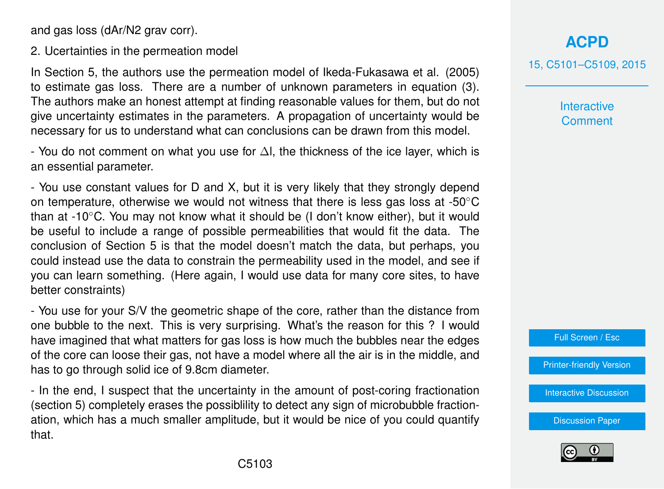and gas loss (dAr/N2 grav corr).

2. Ucertainties in the permeation model

In Section 5, the authors use the permeation model of Ikeda-Fukasawa et al. (2005) to estimate gas loss. There are a number of unknown parameters in equation (3). The authors make an honest attempt at finding reasonable values for them, but do not give uncertainty estimates in the parameters. A propagation of uncertainty would be necessary for us to understand what can conclusions can be drawn from this model.

- You do not comment on what you use for ∆l, the thickness of the ice layer, which is an essential parameter.

- You use constant values for D and X, but it is very likely that they strongly depend on temperature, otherwise we would not witness that there is less gas loss at -50◦C than at -10 $\degree$ C. You may not know what it should be (I don't know either), but it would be useful to include a range of possible permeabilities that would fit the data. The conclusion of Section 5 is that the model doesn't match the data, but perhaps, you could instead use the data to constrain the permeability used in the model, and see if you can learn something. (Here again, I would use data for many core sites, to have better constraints)

- You use for your S/V the geometric shape of the core, rather than the distance from one bubble to the next. This is very surprising. What's the reason for this ? I would have imagined that what matters for gas loss is how much the bubbles near the edges of the core can loose their gas, not have a model where all the air is in the middle, and has to go through solid ice of 9.8cm diameter.

- In the end, I suspect that the uncertainty in the amount of post-coring fractionation (section 5) completely erases the possiblility to detect any sign of microbubble fractionation, which has a much smaller amplitude, but it would be nice of you could quantify that.

# **[ACPD](http://www.atmos-chem-phys-discuss.net)**

15, C5101–C5109, 2015

**Interactive Comment** 



[Printer-friendly Version](http://www.atmos-chem-phys-discuss.net/15/C5101/2015/acpd-15-C5101-2015-print.pdf)

[Interactive Discussion](http://www.atmos-chem-phys-discuss.net/15/15711/2015/acpd-15-15711-2015-discussion.html)

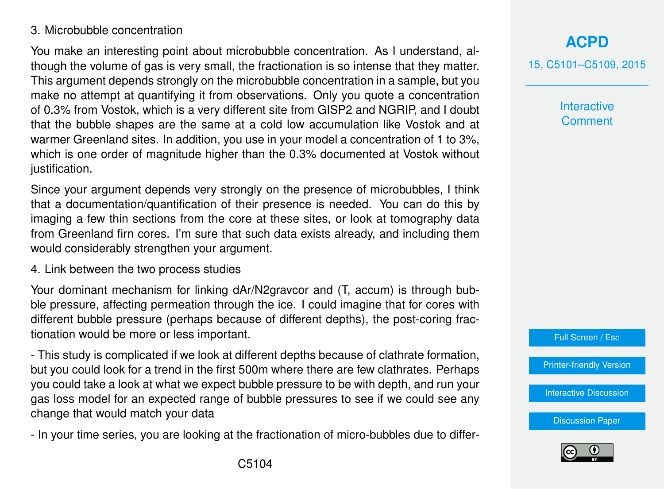## 3. Microbubble concentration

You make an interesting point about microbubble concentration. As I understand, although the volume of gas is very small, the fractionation is so intense that they matter. This argument depends strongly on the microbubble concentration in a sample, but you make no attempt at quantifying it from observations. Only you quote a concentration of 0.3% from Vostok, which is a very different site from GISP2 and NGRIP, and I doubt that the bubble shapes are the same at a cold low accumulation like Vostok and at warmer Greenland sites. In addition, you use in your model a concentration of 1 to 3%, which is one order of magnitude higher than the 0.3% documented at Vostok without justification.

Since your argument depends very strongly on the presence of microbubbles, I think that a documentation/quantification of their presence is needed. You can do this by imaging a few thin sections from the core at these sites, or look at tomography data from Greenland firn cores. I'm sure that such data exists already, and including them would considerably strengthen your argument.

4. Link between the two process studies

Your dominant mechanism for linking dAr/N2gravcor and (T, accum) is through bubble pressure, affecting permeation through the ice. I could imagine that for cores with different bubble pressure (perhaps because of different depths), the post-coring fractionation would be more or less important.

- This study is complicated if we look at different depths because of clathrate formation, but you could look for a trend in the first 500m where there are few clathrates. Perhaps you could take a look at what we expect bubble pressure to be with depth, and run your gas loss model for an expected range of bubble pressures to see if we could see any change that would match your data

- In your time series, you are looking at the fractionation of micro-bubbles due to differ-

## **[ACPD](http://www.atmos-chem-phys-discuss.net)**

15, C5101–C5109, 2015

**Interactive Comment** 



[Printer-friendly Version](http://www.atmos-chem-phys-discuss.net/15/C5101/2015/acpd-15-C5101-2015-print.pdf)

[Interactive Discussion](http://www.atmos-chem-phys-discuss.net/15/15711/2015/acpd-15-15711-2015-discussion.html)

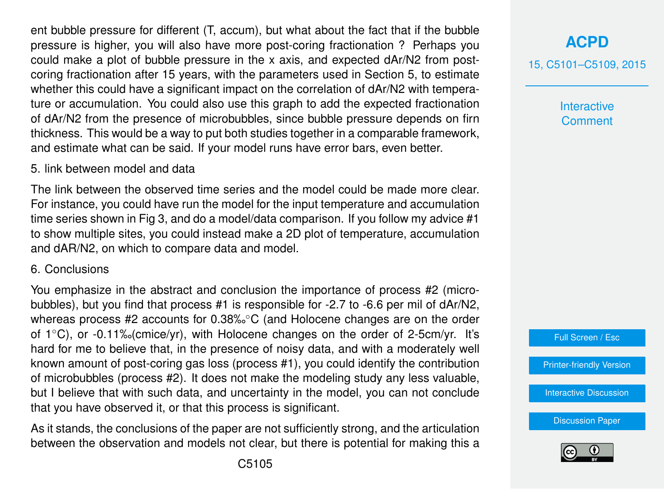ent bubble pressure for different (T, accum), but what about the fact that if the bubble pressure is higher, you will also have more post-coring fractionation ? Perhaps you could make a plot of bubble pressure in the x axis, and expected dAr/N2 from postcoring fractionation after 15 years, with the parameters used in Section 5, to estimate whether this could have a significant impact on the correlation of dAr/N2 with temperature or accumulation. You could also use this graph to add the expected fractionation of dAr/N2 from the presence of microbubbles, since bubble pressure depends on firn thickness. This would be a way to put both studies together in a comparable framework, and estimate what can be said. If your model runs have error bars, even better.

#### 5. link between model and data

The link between the observed time series and the model could be made more clear. For instance, you could have run the model for the input temperature and accumulation time series shown in Fig 3, and do a model/data comparison. If you follow my advice #1 to show multiple sites, you could instead make a 2D plot of temperature, accumulation and dAR/N2, on which to compare data and model.

#### 6. Conclusions

You emphasize in the abstract and conclusion the importance of process #2 (microbubbles), but you find that process #1 is responsible for -2.7 to -6.6 per mil of dAr/N2, whereas process #2 accounts for 0.38‰<sup>°</sup>C (and Holocene changes are on the order of 1◦C), or -0.11‰(cmice/yr), with Holocene changes on the order of 2-5cm/yr. It's hard for me to believe that, in the presence of noisy data, and with a moderately well known amount of post-coring gas loss (process #1), you could identify the contribution of microbubbles (process #2). It does not make the modeling study any less valuable, but I believe that with such data, and uncertainty in the model, you can not conclude that you have observed it, or that this process is significant.

As it stands, the conclusions of the paper are not sufficiently strong, and the articulation between the observation and models not clear, but there is potential for making this a 15, C5101–C5109, 2015

**Interactive Comment** 

Full Screen / Esc

[Printer-friendly Version](http://www.atmos-chem-phys-discuss.net/15/C5101/2015/acpd-15-C5101-2015-print.pdf)

[Interactive Discussion](http://www.atmos-chem-phys-discuss.net/15/15711/2015/acpd-15-15711-2015-discussion.html)

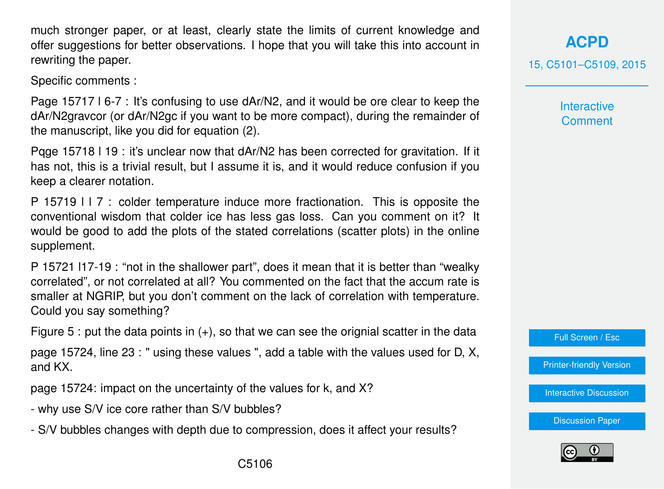much stronger paper, or at least, clearly state the limits of current knowledge and offer suggestions for better observations. I hope that you will take this into account in rewriting the paper.

Specific comments :

Page 15717 l 6-7 : It's confusing to use dAr/N2, and it would be ore clear to keep the dAr/N2gravcor (or dAr/N2gc if you want to be more compact), during the remainder of the manuscript, like you did for equation (2).

Pqge 15718 l 19 : it's unclear now that dAr/N2 has been corrected for gravitation. If it has not, this is a trivial result, but I assume it is, and it would reduce confusion if you keep a clearer notation.

P 15719 l l 7 : colder temperature induce more fractionation. This is opposite the conventional wisdom that colder ice has less gas loss. Can you comment on it? It would be good to add the plots of the stated correlations (scatter plots) in the online supplement.

P 15721 l17-19 : "not in the shallower part", does it mean that it is better than "wealky correlated", or not correlated at all? You commented on the fact that the accum rate is smaller at NGRIP, but you don't comment on the lack of correlation with temperature. Could you say something?

Figure 5 : put the data points in  $(+)$ , so that we can see the orignial scatter in the data

page 15724, line 23 : " using these values ", add a table with the values used for D, X, and KX.

page 15724: impact on the uncertainty of the values for k, and X?

- why use S/V ice core rather than S/V bubbles?
- S/V bubbles changes with depth due to compression, does it affect your results?

**[ACPD](http://www.atmos-chem-phys-discuss.net)**

15, C5101–C5109, 2015

**Interactive Comment** 

Full Screen / Esc

[Printer-friendly Version](http://www.atmos-chem-phys-discuss.net/15/C5101/2015/acpd-15-C5101-2015-print.pdf)

[Interactive Discussion](http://www.atmos-chem-phys-discuss.net/15/15711/2015/acpd-15-15711-2015-discussion.html)

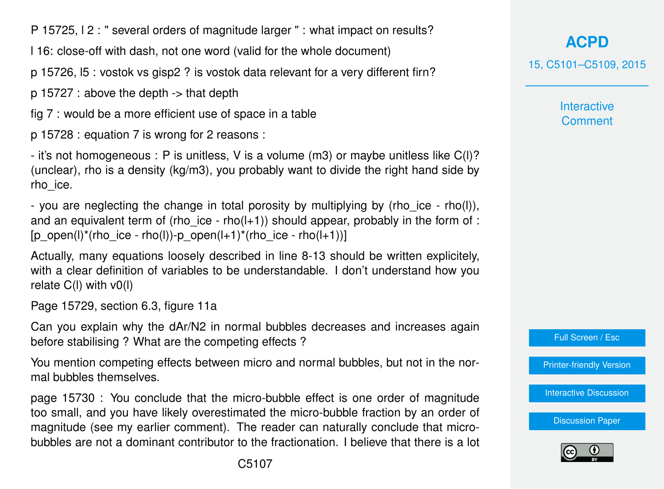P 15725, l 2 : " several orders of magnitude larger " : what impact on results?

l 16: close-off with dash, not one word (valid for the whole document)

p 15726, l5 : vostok vs gisp2 ? is vostok data relevant for a very different firn?

p 15727 : above the depth -> that depth

fig 7 : would be a more efficient use of space in a table

p 15728 : equation 7 is wrong for 2 reasons :

- it's not homogeneous : P is unitless, V is a volume (m3) or maybe unitless like C(l)? (unclear), rho is a density (kg/m3), you probably want to divide the right hand side by rho\_ice.

- you are neglecting the change in total porosity by multiplying by (rho ice - rho(l)), and an equivalent term of (rho ice - rho( $l+1$ )) should appear, probably in the form of : [p\_open(l)\*(rho\_ice - rho(l))-p\_open(l+1)\*(rho\_ice - rho(l+1))]

Actually, many equations loosely described in line 8-13 should be written explicitely, with a clear definition of variables to be understandable. I don't understand how you relate  $C(I)$  with  $v(1)$ 

Page 15729, section 6.3, figure 11a

Can you explain why the dAr/N2 in normal bubbles decreases and increases again before stabilising ? What are the competing effects ?

You mention competing effects between micro and normal bubbles, but not in the normal bubbles themselves.

page 15730 : You conclude that the micro-bubble effect is one order of magnitude too small, and you have likely overestimated the micro-bubble fraction by an order of magnitude (see my earlier comment). The reader can naturally conclude that microbubbles are not a dominant contributor to the fractionation. I believe that there is a lot

**[ACPD](http://www.atmos-chem-phys-discuss.net)** 15, C5101–C5109, 2015

> **Interactive Comment**



[Printer-friendly Version](http://www.atmos-chem-phys-discuss.net/15/C5101/2015/acpd-15-C5101-2015-print.pdf)

[Interactive Discussion](http://www.atmos-chem-phys-discuss.net/15/15711/2015/acpd-15-15711-2015-discussion.html)

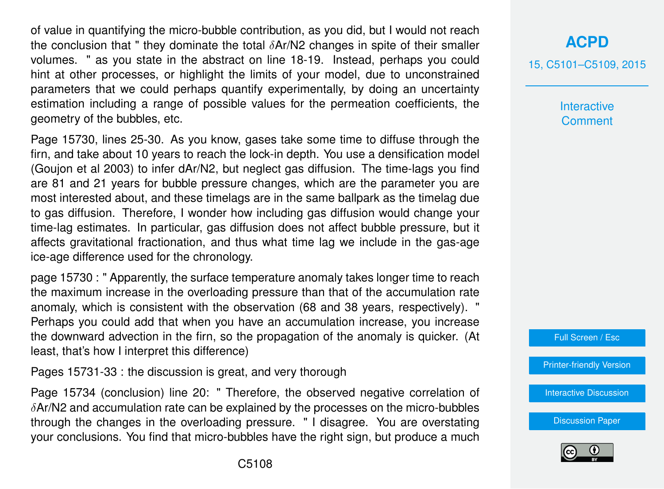of value in quantifying the micro-bubble contribution, as you did, but I would not reach the conclusion that " they dominate the total  $\delta$ Ar/N2 changes in spite of their smaller volumes. " as you state in the abstract on line 18-19. Instead, perhaps you could hint at other processes, or highlight the limits of your model, due to unconstrained parameters that we could perhaps quantify experimentally, by doing an uncertainty estimation including a range of possible values for the permeation coefficients, the geometry of the bubbles, etc.

Page 15730, lines 25-30. As you know, gases take some time to diffuse through the firn, and take about 10 years to reach the lock-in depth. You use a densification model (Goujon et al 2003) to infer dAr/N2, but neglect gas diffusion. The time-lags you find are 81 and 21 years for bubble pressure changes, which are the parameter you are most interested about, and these timelags are in the same ballpark as the timelag due to gas diffusion. Therefore, I wonder how including gas diffusion would change your time-lag estimates. In particular, gas diffusion does not affect bubble pressure, but it affects gravitational fractionation, and thus what time lag we include in the gas-age ice-age difference used for the chronology.

page 15730 : " Apparently, the surface temperature anomaly takes longer time to reach the maximum increase in the overloading pressure than that of the accumulation rate anomaly, which is consistent with the observation (68 and 38 years, respectively). " Perhaps you could add that when you have an accumulation increase, you increase the downward advection in the firn, so the propagation of the anomaly is quicker. (At least, that's how I interpret this difference)

Pages 15731-33 : the discussion is great, and very thorough

Page 15734 (conclusion) line 20: " Therefore, the observed negative correlation of  $\delta$ Ar/N2 and accumulation rate can be explained by the processes on the micro-bubbles through the changes in the overloading pressure. " I disagree. You are overstating your conclusions. You find that micro-bubbles have the right sign, but produce a much

## **[ACPD](http://www.atmos-chem-phys-discuss.net)**

15, C5101–C5109, 2015

**Interactive Comment** 

Full Screen / Esc

[Printer-friendly Version](http://www.atmos-chem-phys-discuss.net/15/C5101/2015/acpd-15-C5101-2015-print.pdf)

[Interactive Discussion](http://www.atmos-chem-phys-discuss.net/15/15711/2015/acpd-15-15711-2015-discussion.html)